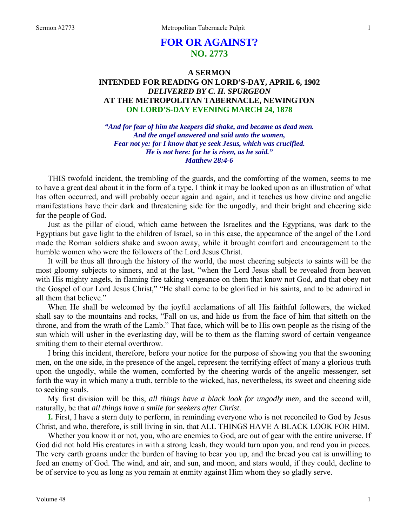# **FOR OR AGAINST? NO. 2773**

### **A SERMON INTENDED FOR READING ON LORD'S-DAY, APRIL 6, 1902**  *DELIVERED BY C. H. SPURGEON*  **AT THE METROPOLITAN TABERNACLE, NEWINGTON ON LORD'S-DAY EVENING MARCH 24, 1878**

*"And for fear of him the keepers did shake, and became as dead men. And the angel answered and said unto the women, Fear not ye: for I know that ye seek Jesus, which was crucified. He is not here: for he is risen, as he said." Matthew 28:4-6* 

THIS twofold incident, the trembling of the guards, and the comforting of the women, seems to me to have a great deal about it in the form of a type. I think it may be looked upon as an illustration of what has often occurred, and will probably occur again and again, and it teaches us how divine and angelic manifestations have their dark and threatening side for the ungodly, and their bright and cheering side for the people of God.

Just as the pillar of cloud, which came between the Israelites and the Egyptians, was dark to the Egyptians but gave light to the children of Israel, so in this case, the appearance of the angel of the Lord made the Roman soldiers shake and swoon away, while it brought comfort and encouragement to the humble women who were the followers of the Lord Jesus Christ.

It will be thus all through the history of the world, the most cheering subjects to saints will be the most gloomy subjects to sinners, and at the last, "when the Lord Jesus shall be revealed from heaven with His mighty angels, in flaming fire taking vengeance on them that know not God, and that obey not the Gospel of our Lord Jesus Christ," "He shall come to be glorified in his saints, and to be admired in all them that believe."

When He shall be welcomed by the joyful acclamations of all His faithful followers, the wicked shall say to the mountains and rocks, "Fall on us, and hide us from the face of him that sitteth on the throne, and from the wrath of the Lamb." That face, which will be to His own people as the rising of the sun which will usher in the everlasting day, will be to them as the flaming sword of certain vengeance smiting them to their eternal overthrow.

I bring this incident, therefore, before your notice for the purpose of showing you that the swooning men, on the one side, in the presence of the angel, represent the terrifying effect of many a glorious truth upon the ungodly, while the women, comforted by the cheering words of the angelic messenger, set forth the way in which many a truth, terrible to the wicked, has, nevertheless, its sweet and cheering side to seeking souls.

My first division will be this, *all things have a black look for ungodly men,* and the second will, naturally, be that *all things have a smile for seekers after Christ*.

**I.** First, I have a stern duty to perform, in reminding everyone who is not reconciled to God by Jesus Christ, and who, therefore, is still living in sin, that ALL THINGS HAVE A BLACK LOOK FOR HIM.

Whether you know it or not, you, who are enemies to God, are out of gear with the entire universe. If God did not hold His creatures in with a strong leash, they would turn upon you, and rend you in pieces. The very earth groans under the burden of having to bear you up, and the bread you eat is unwilling to feed an enemy of God. The wind, and air, and sun, and moon, and stars would, if they could, decline to be of service to you as long as you remain at enmity against Him whom they so gladly serve.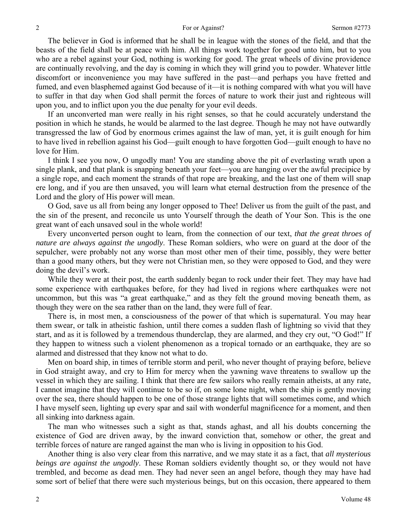The believer in God is informed that he shall be in league with the stones of the field, and that the beasts of the field shall be at peace with him. All things work together for good unto him, but to you who are a rebel against your God, nothing is working for good. The great wheels of divine providence are continually revolving, and the day is coming in which they will grind you to powder. Whatever little discomfort or inconvenience you may have suffered in the past—and perhaps you have fretted and fumed, and even blasphemed against God because of it—it is nothing compared with what you will have to suffer in that day when God shall permit the forces of nature to work their just and righteous will upon you, and to inflict upon you the due penalty for your evil deeds.

If an unconverted man were really in his right senses, so that he could accurately understand the position in which he stands, he would be alarmed to the last degree. Though he may not have outwardly transgressed the law of God by enormous crimes against the law of man, yet, it is guilt enough for him to have lived in rebellion against his God—guilt enough to have forgotten God—guilt enough to have no love for Him.

I think I see you now, O ungodly man! You are standing above the pit of everlasting wrath upon a single plank, and that plank is snapping beneath your feet—you are hanging over the awful precipice by a single rope, and each moment the strands of that rope are breaking, and the last one of them will snap ere long, and if you are then unsaved, you will learn what eternal destruction from the presence of the Lord and the glory of His power will mean.

O God, save us all from being any longer opposed to Thee! Deliver us from the guilt of the past, and the sin of the present, and reconcile us unto Yourself through the death of Your Son. This is the one great want of each unsaved soul in the whole world!

Every unconverted person ought to learn, from the connection of our text, *that the great throes of nature are always against the ungodly*. These Roman soldiers, who were on guard at the door of the sepulcher, were probably not any worse than most other men of their time, possibly, they were better than a good many others, but they were not Christian men, so they were opposed to God, and they were doing the devil's work.

While they were at their post, the earth suddenly began to rock under their feet. They may have had some experience with earthquakes before, for they had lived in regions where earthquakes were not uncommon, but this was "a great earthquake," and as they felt the ground moving beneath them, as though they were on the sea rather than on the land, they were full of fear.

There is, in most men, a consciousness of the power of that which is supernatural. You may hear them swear, or talk in atheistic fashion, until there comes a sudden flash of lightning so vivid that they start, and as it is followed by a tremendous thunderclap, they are alarmed, and they cry out, "O God!" If they happen to witness such a violent phenomenon as a tropical tornado or an earthquake, they are so alarmed and distressed that they know not what to do.

Men on board ship, in times of terrible storm and peril, who never thought of praying before, believe in God straight away, and cry to Him for mercy when the yawning wave threatens to swallow up the vessel in which they are sailing. I think that there are few sailors who really remain atheists, at any rate, I cannot imagine that they will continue to be so if, on some lone night, when the ship is gently moving over the sea, there should happen to be one of those strange lights that will sometimes come, and which I have myself seen, lighting up every spar and sail with wonderful magnificence for a moment, and then all sinking into darkness again.

The man who witnesses such a sight as that, stands aghast, and all his doubts concerning the existence of God are driven away, by the inward conviction that, somehow or other, the great and terrible forces of nature are ranged against the man who is living in opposition to his God.

Another thing is also very clear from this narrative, and we may state it as a fact, that *all mysterious beings are against the ungodly*. These Roman soldiers evidently thought so, or they would not have trembled, and become as dead men. They had never seen an angel before, though they may have had some sort of belief that there were such mysterious beings, but on this occasion, there appeared to them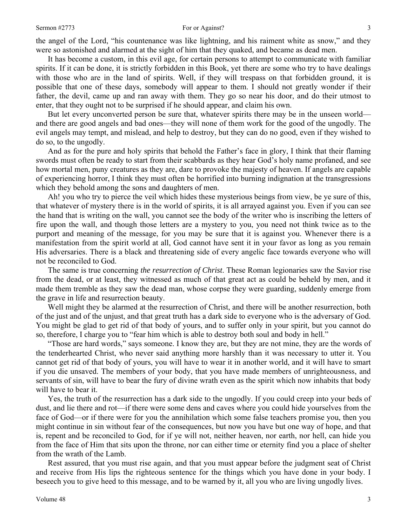the angel of the Lord, "his countenance was like lightning, and his raiment white as snow," and they were so astonished and alarmed at the sight of him that they quaked, and became as dead men.

It has become a custom, in this evil age, for certain persons to attempt to communicate with familiar spirits. If it can be done, it is strictly forbidden in this Book, yet there are some who try to have dealings with those who are in the land of spirits. Well, if they will trespass on that forbidden ground, it is possible that one of these days, somebody will appear to them. I should not greatly wonder if their father, the devil, came up and ran away with them. They go so near his door, and do their utmost to enter, that they ought not to be surprised if he should appear, and claim his own.

But let every unconverted person be sure that, whatever spirits there may be in the unseen world and there are good angels and bad ones—they will none of them work for the good of the ungodly. The evil angels may tempt, and mislead, and help to destroy, but they can do no good, even if they wished to do so, to the ungodly.

And as for the pure and holy spirits that behold the Father's face in glory, I think that their flaming swords must often be ready to start from their scabbards as they hear God's holy name profaned, and see how mortal men, puny creatures as they are, dare to provoke the majesty of heaven. If angels are capable of experiencing horror, I think they must often be horrified into burning indignation at the transgressions which they behold among the sons and daughters of men.

Ah! you who try to pierce the veil which hides these mysterious beings from view, be ye sure of this, that whatever of mystery there is in the world of spirits, it is all arrayed against you. Even if you can see the hand that is writing on the wall, you cannot see the body of the writer who is inscribing the letters of fire upon the wall, and though those letters are a mystery to you, you need not think twice as to the purport and meaning of the message, for you may be sure that it is against you. Whenever there is a manifestation from the spirit world at all, God cannot have sent it in your favor as long as you remain His adversaries. There is a black and threatening side of every angelic face towards everyone who will not be reconciled to God.

The same is true concerning *the resurrection of Christ*. These Roman legionaries saw the Savior rise from the dead, or at least, they witnessed as much of that great act as could be beheld by men, and it made them tremble as they saw the dead man, whose corpse they were guarding, suddenly emerge from the grave in life and resurrection beauty.

Well might they be alarmed at the resurrection of Christ, and there will be another resurrection, both of the just and of the unjust, and that great truth has a dark side to everyone who is the adversary of God. You might be glad to get rid of that body of yours, and to suffer only in your spirit, but you cannot do so, therefore, I charge you to "fear him which is able to destroy both soul and body in hell."

"Those are hard words," says someone. I know they are, but they are not mine, they are the words of the tenderhearted Christ, who never said anything more harshly than it was necessary to utter it. You cannot get rid of that body of yours, you will have to wear it in another world, and it will have to smart if you die unsaved. The members of your body, that you have made members of unrighteousness, and servants of sin, will have to bear the fury of divine wrath even as the spirit which now inhabits that body will have to bear it.

Yes, the truth of the resurrection has a dark side to the ungodly. If you could creep into your beds of dust, and lie there and rot—if there were some dens and caves where you could hide yourselves from the face of God—or if there were for you the annihilation which some false teachers promise you, then you might continue in sin without fear of the consequences, but now you have but one way of hope, and that is, repent and be reconciled to God, for if ye will not, neither heaven, nor earth, nor hell, can hide you from the face of Him that sits upon the throne, nor can either time or eternity find you a place of shelter from the wrath of the Lamb.

Rest assured, that you must rise again, and that you must appear before the judgment seat of Christ and receive from His lips the righteous sentence for the things which you have done in your body. I beseech you to give heed to this message, and to be warned by it, all you who are living ungodly lives.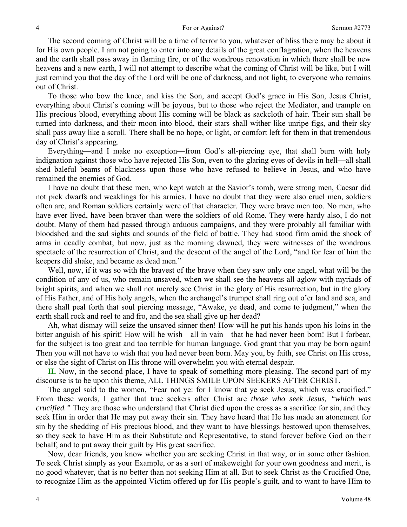The second coming of Christ will be a time of terror to you, whatever of bliss there may be about it for His own people. I am not going to enter into any details of the great conflagration, when the heavens and the earth shall pass away in flaming fire, or of the wondrous renovation in which there shall be new heavens and a new earth, I will not attempt to describe what the coming of Christ will be like, but I will just remind you that the day of the Lord will be one of darkness, and not light, to everyone who remains out of Christ.

To those who bow the knee, and kiss the Son, and accept God's grace in His Son, Jesus Christ, everything about Christ's coming will be joyous, but to those who reject the Mediator, and trample on His precious blood, everything about His coming will be black as sackcloth of hair. Their sun shall be turned into darkness, and their moon into blood, their stars shall wither like unripe figs, and their sky shall pass away like a scroll. There shall be no hope, or light, or comfort left for them in that tremendous day of Christ's appearing.

Everything—and I make no exception—from God's all-piercing eye, that shall burn with holy indignation against those who have rejected His Son, even to the glaring eyes of devils in hell—all shall shed baleful beams of blackness upon those who have refused to believe in Jesus, and who have remained the enemies of God.

I have no doubt that these men, who kept watch at the Savior's tomb, were strong men, Caesar did not pick dwarfs and weaklings for his armies. I have no doubt that they were also cruel men, soldiers often are, and Roman soldiers certainly were of that character. They were brave men too. No men, who have ever lived, have been braver than were the soldiers of old Rome. They were hardy also, I do not doubt. Many of them had passed through arduous campaigns, and they were probably all familiar with bloodshed and the sad sights and sounds of the field of battle. They had stood firm amid the shock of arms in deadly combat; but now, just as the morning dawned, they were witnesses of the wondrous spectacle of the resurrection of Christ, and the descent of the angel of the Lord, "and for fear of him the keepers did shake, and became as dead men."

Well, now, if it was so with the bravest of the brave when they saw only one angel, what will be the condition of any of us, who remain unsaved, when we shall see the heavens all aglow with myriads of bright spirits, and when we shall not merely see Christ in the glory of His resurrection, but in the glory of His Father, and of His holy angels, when the archangel's trumpet shall ring out o'er land and sea, and there shall peal forth that soul piercing message, "Awake, ye dead, and come to judgment," when the earth shall rock and reel to and fro, and the sea shall give up her dead?

Ah, what dismay will seize the unsaved sinner then! How will he put his hands upon his loins in the bitter anguish of his spirit! How will he wish—all in vain—that he had never been born! But I forbear, for the subject is too great and too terrible for human language. God grant that you may be born again! Then you will not have to wish that you had never been born. May you, by faith, see Christ on His cross, or else the sight of Christ on His throne will overwhelm you with eternal despair.

**II.** Now, in the second place, I have to speak of something more pleasing. The second part of my discourse is to be upon this theme, ALL THINGS SMILE UPON SEEKERS AFTER CHRIST.

The angel said to the women, "Fear not ye: for I know that ye seek Jesus, which was crucified." From these words, I gather that true seekers after Christ are *those who seek Jesus, "which was crucified."* They are those who understand that Christ died upon the cross as a sacrifice for sin, and they seek Him in order that He may put away their sin. They have heard that He has made an atonement for sin by the shedding of His precious blood, and they want to have blessings bestowed upon themselves, so they seek to have Him as their Substitute and Representative, to stand forever before God on their behalf, and to put away their guilt by His great sacrifice.

Now, dear friends, you know whether you are seeking Christ in that way, or in some other fashion. To seek Christ simply as your Example, or as a sort of makeweight for your own goodness and merit, is no good whatever, that is no better than not seeking Him at all. But to seek Christ as the Crucified One, to recognize Him as the appointed Victim offered up for His people's guilt, and to want to have Him to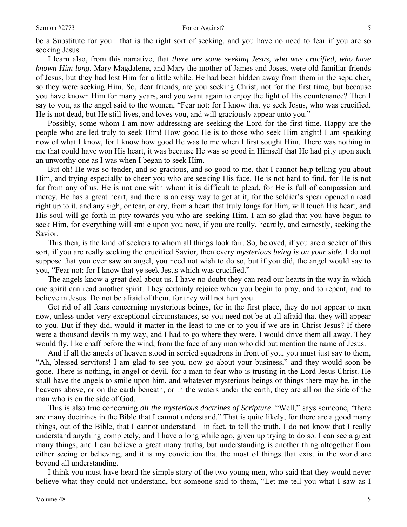#### Sermon #2773 5

be a Substitute for you—that is the right sort of seeking, and you have no need to fear if you are so seeking Jesus.

I learn also, from this narrative, that *there are some seeking Jesus, who was crucified, who have known Him long*. Mary Magdalene, and Mary the mother of James and Joses, were old familiar friends of Jesus, but they had lost Him for a little while. He had been hidden away from them in the sepulcher, so they were seeking Him. So, dear friends, are you seeking Christ, not for the first time, but because you have known Him for many years, and you want again to enjoy the light of His countenance? Then I say to you, as the angel said to the women, "Fear not: for I know that ye seek Jesus, who was crucified. He is not dead, but He still lives, and loves you, and will graciously appear unto you."

Possibly, some whom I am now addressing are seeking the Lord for the first time. Happy are the people who are led truly to seek Him! How good He is to those who seek Him aright! I am speaking now of what I know, for I know how good He was to me when I first sought Him. There was nothing in me that could have won His heart, it was because He was so good in Himself that He had pity upon such an unworthy one as I was when I began to seek Him.

But oh! He was so tender, and so gracious, and so good to me, that I cannot help telling you about Him, and trying especially to cheer you who are seeking His face. He is not hard to find, for He is not far from any of us. He is not one with whom it is difficult to plead, for He is full of compassion and mercy. He has a great heart, and there is an easy way to get at it, for the soldier's spear opened a road right up to it, and any sigh, or tear, or cry, from a heart that truly longs for Him, will touch His heart, and His soul will go forth in pity towards you who are seeking Him. I am so glad that you have begun to seek Him, for everything will smile upon you now, if you are really, heartily, and earnestly, seeking the Savior.

This then, is the kind of seekers to whom all things look fair. So, beloved, if you are a seeker of this sort, if you are really seeking the crucified Savior, then every *mysterious being is on your side.* I do not suppose that you ever saw an angel, you need not wish to do so, but if you did, the angel would say to you, "Fear not: for I know that ye seek Jesus which was crucified."

The angels know a great deal about us. I have no doubt they can read our hearts in the way in which one spirit can read another spirit. They certainly rejoice when you begin to pray, and to repent, and to believe in Jesus. Do not be afraid of them, for they will not hurt you.

Get rid of all fears concerning mysterious beings, for in the first place, they do not appear to men now, unless under very exceptional circumstances, so you need not be at all afraid that they will appear to you. But if they did, would it matter in the least to me or to you if we are in Christ Jesus? If there were a thousand devils in my way, and I had to go where they were, I would drive them all away. They would fly, like chaff before the wind, from the face of any man who did but mention the name of Jesus.

And if all the angels of heaven stood in serried squadrons in front of you, you must just say to them, "Ah, blessed servitors! I am glad to see you, now go about your business," and they would soon be gone. There is nothing, in angel or devil, for a man to fear who is trusting in the Lord Jesus Christ. He shall have the angels to smile upon him, and whatever mysterious beings or things there may be, in the heavens above, or on the earth beneath, or in the waters under the earth, they are all on the side of the man who is on the side of God.

This is also true concerning *all the mysterious doctrines of Scripture*. "Well," says someone, "there are many doctrines in the Bible that I cannot understand." That is quite likely, for there are a good many things, out of the Bible, that I cannot understand—in fact, to tell the truth, I do not know that I really understand anything completely, and I have a long while ago, given up trying to do so. I can see a great many things, and I can believe a great many truths, but understanding is another thing altogether from either seeing or believing, and it is my conviction that the most of things that exist in the world are beyond all understanding.

I think you must have heard the simple story of the two young men, who said that they would never believe what they could not understand, but someone said to them, "Let me tell you what I saw as I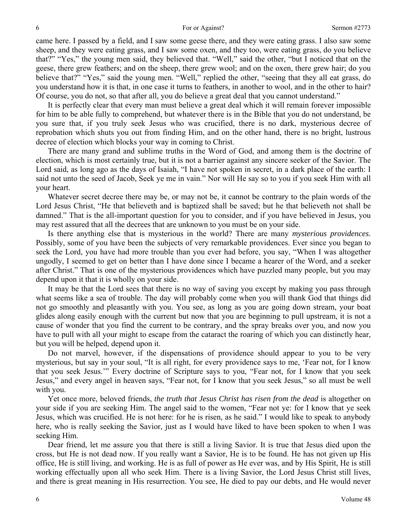came here. I passed by a field, and I saw some geese there, and they were eating grass. I also saw some sheep, and they were eating grass, and I saw some oxen, and they too, were eating grass, do you believe that?" "Yes," the young men said, they believed that. "Well," said the other, "but I noticed that on the geese, there grew feathers; and on the sheep, there grew wool; and on the oxen, there grew hair; do you believe that?" "Yes," said the young men. "Well," replied the other, "seeing that they all eat grass, do you understand how it is that, in one case it turns to feathers, in another to wool, and in the other to hair? Of course, you do not, so that after all, you do believe a great deal that you cannot understand."

It is perfectly clear that every man must believe a great deal which it will remain forever impossible for him to be able fully to comprehend, but whatever there is in the Bible that you do not understand, be you sure that, if you truly seek Jesus who was crucified, there is no dark, mysterious decree of reprobation which shuts you out from finding Him, and on the other hand, there is no bright, lustrous decree of election which blocks your way in coming to Christ.

There are many grand and sublime truths in the Word of God, and among them is the doctrine of election, which is most certainly true, but it is not a barrier against any sincere seeker of the Savior. The Lord said, as long ago as the days of Isaiah, "I have not spoken in secret, in a dark place of the earth: I said not unto the seed of Jacob, Seek ye me in vain." Nor will He say so to you if you seek Him with all your heart.

Whatever secret decree there may be, or may not be, it cannot be contrary to the plain words of the Lord Jesus Christ, "He that believeth and is baptized shall be saved; but he that believeth not shall be damned." That is the all-important question for you to consider, and if you have believed in Jesus, you may rest assured that all the decrees that are unknown to you must be on your side.

Is there anything else that is mysterious in the world? There are many *mysterious providences*. Possibly, some of you have been the subjects of very remarkable providences. Ever since you began to seek the Lord, you have had more trouble than you ever had before, you say, "When I was altogether ungodly, I seemed to get on better than I have done since I became a hearer of the Word, and a seeker after Christ." That is one of the mysterious providences which have puzzled many people, but you may depend upon it that it is wholly on your side.

It may be that the Lord sees that there is no way of saving you except by making you pass through what seems like a sea of trouble. The day will probably come when you will thank God that things did not go smoothly and pleasantly with you. You see, as long as you are going down stream, your boat glides along easily enough with the current but now that you are beginning to pull upstream, it is not a cause of wonder that you find the current to be contrary, and the spray breaks over you, and now you have to pull with all your might to escape from the cataract the roaring of which you can distinctly hear, but you will be helped, depend upon it.

Do not marvel, however, if the dispensations of providence should appear to you to be very mysterious, but say in your soul, "It is all right, for every providence says to me, 'Fear not, for I know that you seek Jesus.'" Every doctrine of Scripture says to you, "Fear not, for I know that you seek Jesus," and every angel in heaven says, "Fear not, for I know that you seek Jesus," so all must be well with you.

Yet once more, beloved friends, *the truth that Jesus Christ has risen from the dead* is altogether on your side if you are seeking Him. The angel said to the women, "Fear not ye: for I know that ye seek Jesus, which was crucified. He is not here: for he is risen, as he said." I would like to speak to anybody here, who is really seeking the Savior, just as I would have liked to have been spoken to when I was seeking Him.

Dear friend, let me assure you that there is still a living Savior. It is true that Jesus died upon the cross, but He is not dead now. If you really want a Savior, He is to be found. He has not given up His office, He is still living, and working. He is as full of power as He ever was, and by His Spirit, He is still working effectually upon all who seek Him. There is a living Savior, the Lord Jesus Christ still lives, and there is great meaning in His resurrection. You see, He died to pay our debts, and He would never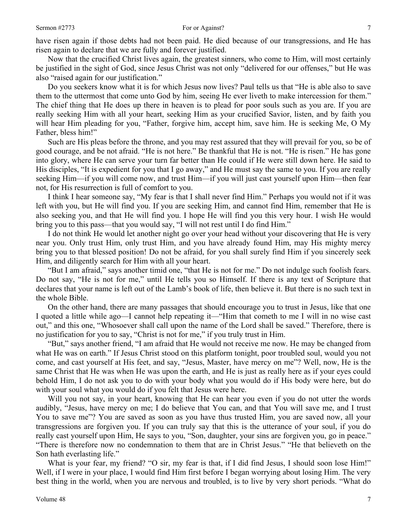Now that the crucified Christ lives again, the greatest sinners, who come to Him, will most certainly be justified in the sight of God, since Jesus Christ was not only "delivered for our offenses," but He was also "raised again for our justification."

Do you seekers know what it is for which Jesus now lives? Paul tells us that "He is able also to save them to the uttermost that come unto God by him, seeing He ever liveth to make intercession for them." The chief thing that He does up there in heaven is to plead for poor souls such as you are. If you are really seeking Him with all your heart, seeking Him as your crucified Savior, listen, and by faith you will hear Him pleading for you, "Father, forgive him, accept him, save him. He is seeking Me, O My Father, bless him!"

Such are His pleas before the throne, and you may rest assured that they will prevail for you, so be of good courage, and be not afraid. "He is not here." Be thankful that He is not. "He is risen." He has gone into glory, where He can serve your turn far better than He could if He were still down here. He said to His disciples, "It is expedient for you that I go away," and He must say the same to you. If you are really seeking Him—if you will come now, and trust Him—if you will just cast yourself upon Him—then fear not, for His resurrection is full of comfort to you.

I think I hear someone say, "My fear is that I shall never find Him." Perhaps you would not if it was left with you, but He will find you. If you are seeking Him, and cannot find Him, remember that He is also seeking you, and that He will find you. I hope He will find you this very hour. I wish He would bring you to this pass—that you would say, "I will not rest until I do find Him."

I do not think He would let another night go over your head without your discovering that He is very near you. Only trust Him, only trust Him, and you have already found Him, may His mighty mercy bring you to that blessed position! Do not be afraid, for you shall surely find Him if you sincerely seek Him, and diligently search for Him with all your heart.

"But I am afraid," says another timid one, "that He is not for me." Do not indulge such foolish fears. Do not say, "He is not for me," until He tells you so Himself. If there is any text of Scripture that declares that your name is left out of the Lamb's book of life, then believe it. But there is no such text in the whole Bible.

On the other hand, there are many passages that should encourage you to trust in Jesus, like that one I quoted a little while ago—I cannot help repeating it—"Him that cometh to me I will in no wise cast out," and this one, "Whosoever shall call upon the name of the Lord shall be saved." Therefore, there is no justification for you to say, "Christ is not for me," if you truly trust in Him.

"But," says another friend, "I am afraid that He would not receive me now. He may be changed from what He was on earth." If Jesus Christ stood on this platform tonight, poor troubled soul, would you not come, and cast yourself at His feet, and say, "Jesus, Master, have mercy on me"? Well, now, He is the same Christ that He was when He was upon the earth, and He is just as really here as if your eyes could behold Him, I do not ask you to do with your body what you would do if His body were here, but do with your soul what you would do if you felt that Jesus were here.

Will you not say, in your heart, knowing that He can hear you even if you do not utter the words audibly, "Jesus, have mercy on me; I do believe that You can, and that You will save me, and I trust You to save me"? You are saved as soon as you have thus trusted Him, you are saved now, all your transgressions are forgiven you. If you can truly say that this is the utterance of your soul, if you do really cast yourself upon Him, He says to you, "Son, daughter, your sins are forgiven you, go in peace." "There is therefore now no condemnation to them that are in Christ Jesus." "He that believeth on the Son hath everlasting life."

What is your fear, my friend? "O sir, my fear is that, if I did find Jesus, I should soon lose Him!" Well, if I were in your place, I would find Him first before I began worrying about losing Him. The very best thing in the world, when you are nervous and troubled, is to live by very short periods. "What do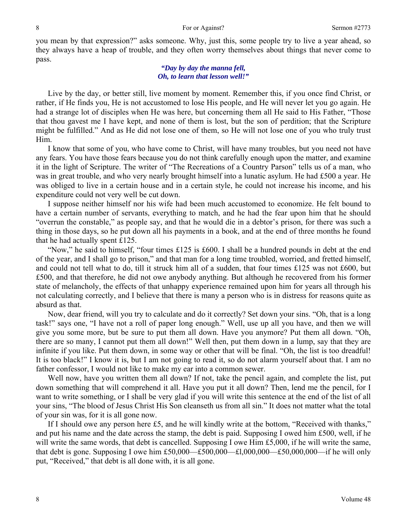you mean by that expression?" asks someone. Why, just this, some people try to live a year ahead, so they always have a heap of trouble, and they often worry themselves about things that never come to pass.

### *"Day by day the manna fell, Oh, to learn that lesson well!"*

Live by the day, or better still, live moment by moment. Remember this, if you once find Christ, or rather, if He finds you, He is not accustomed to lose His people, and He will never let you go again. He had a strange lot of disciples when He was here, but concerning them all He said to His Father, "Those that thou gavest me I have kept, and none of them is lost, but the son of perdition; that the Scripture might be fulfilled." And as He did not lose one of them, so He will not lose one of you who truly trust Him.

I know that some of you, who have come to Christ, will have many troubles, but you need not have any fears. You have those fears because you do not think carefully enough upon the matter, and examine it in the light of Scripture. The writer of "The Recreations of a Country Parson" tells us of a man, who was in great trouble, and who very nearly brought himself into a lunatic asylum. He had £500 a year. He was obliged to live in a certain house and in a certain style, he could not increase his income, and his expenditure could not very well be cut down.

I suppose neither himself nor his wife had been much accustomed to economize. He felt bound to have a certain number of servants, everything to match, and he had the fear upon him that he should "overrun the constable," as people say, and that he would die in a debtor's prison, for there was such a thing in those days, so he put down all his payments in a book, and at the end of three months he found that he had actually spent £125.

"Now," he said to himself, "four times £125 is £600. I shall be a hundred pounds in debt at the end of the year, and I shall go to prison," and that man for a long time troubled, worried, and fretted himself, and could not tell what to do, till it struck him all of a sudden, that four times £125 was not £600, but £500, and that therefore, he did not owe anybody anything. But although he recovered from his former state of melancholy, the effects of that unhappy experience remained upon him for years all through his not calculating correctly, and I believe that there is many a person who is in distress for reasons quite as absurd as that.

Now, dear friend, will you try to calculate and do it correctly? Set down your sins. "Oh, that is a long task!" says one, "I have not a roll of paper long enough." Well, use up all you have, and then we will give you some more, but be sure to put them all down. Have you anymore? Put them all down. "Oh, there are so many, I cannot put them all down!" Well then, put them down in a lump, say that they are infinite if you like. Put them down, in some way or other that will be final. "Oh, the list is too dreadful! It is too black!" I know it is, but I am not going to read it, so do not alarm yourself about that. I am no father confessor, I would not like to make my ear into a common sewer.

Well now, have you written them all down? If not, take the pencil again, and complete the list, put down something that will comprehend it all. Have you put it all down? Then, lend me the pencil, for I want to write something, or I shall be very glad if you will write this sentence at the end of the list of all your sins, "The blood of Jesus Christ His Son cleanseth us from all sin." It does not matter what the total of your sin was, for it is all gone now.

If I should owe any person here £5, and he will kindly write at the bottom, "Received with thanks," and put his name and the date across the stamp, the debt is paid. Supposing I owed him £500, well, if he will write the same words, that debt is cancelled. Supposing I owe Him £5,000, if he will write the same, that debt is gone. Supposing I owe him £50,000—£500,000—£1,000,000—£50,000,000—if he will only put, "Received," that debt is all done with, it is all gone.